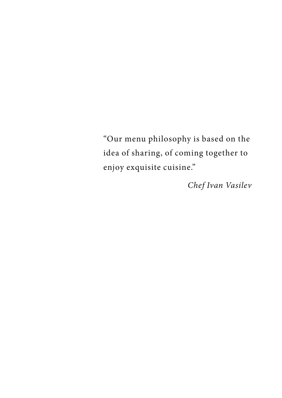"Our menu philosophy is based on the idea of sharing, of coming together to enjoy exquisite cuisine."

*Chef Ivan Vasilev*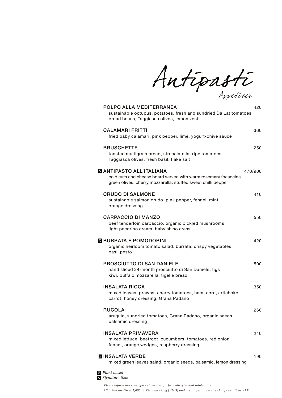Antipasti

| POLPO ALLA MEDITERRANEA<br>sustainable octupus, potatoes, fresh and sundried Da Lat tomatoes<br>broad beans, Taggiasca olives, lemon zest                  | 420     |
|------------------------------------------------------------------------------------------------------------------------------------------------------------|---------|
| <b>CAI AMARI FRITTI</b><br>fried baby calamari, pink pepper, lime, yogurt-chive sauce                                                                      | 360     |
| <b>BRUSCHETTE</b><br>toasted multigrain bread, stracciatella, ripe tomatoes<br>Taggiasca olives, fresh basil, flake salt                                   | 250     |
| S ANTIPASTO ALL'ITALIANA<br>cold cuts and cheese board served with warm rosemary focaccina<br>green olives, cherry mozzarella, stuffed sweet chilli pepper | 470/900 |
| <b>CRUDO DI SALMONE</b><br>sustainable salmon crudo, pink pepper, fennel, mint<br>orange dressing                                                          | 410     |
| <b>CARPACCIO DI MANZO</b><br>beef tenderloin carpaccio, organic pickled mushrooms<br>light pecorino cream, baby shiso cress                                | 550     |
| <b>N</b> BURRATA E POMODORINI<br>organic heirloom tomato salad, burrata, crispy vegetables<br>basil pesto                                                  | 420     |
| <b>PROSCIUTTO DI SAN DANIELE</b><br>hand sliced 24-month prosciutto di San Daniele, figs<br>kiwi, buffalo mozzarella, tigelle bread                        | 500     |
| <b>INSALATA RICCA</b><br>mixed leaves, prawns, cherry tomatoes, ham, corn, artichoke<br>carrot, honey dressing, Grana Padano                               | 350     |
| <b>RUCOLA</b><br>arugula, sundried tomatoes, Grana Padano, organic seeds<br>balsamic dressing                                                              | 260     |
| <b>INSALATA PRIMAVERA</b><br>mixed lettuce, beetroot, cucumbers, tomatoes, red onion<br>fennel, orange wedges, raspberry dressing                          | 240     |
| <b>DINSALATA VERDE</b><br>mixed green leaves salad, organic seeds, balsamic, lemon dressing                                                                | 190     |
| P Plant based<br>S Signature item                                                                                                                          |         |

*All prices are times 1,000 in Vietnam Dong (VND) and are subject to service charge and then VAT Please inform our colleagues about specific food allergies and intolerances*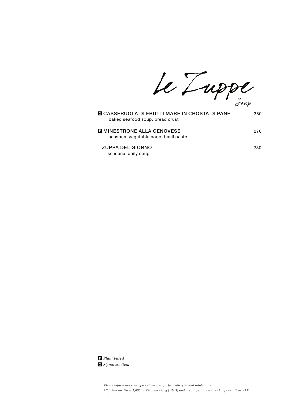Le Luppe

| S CASSERUOLA DI FRUTTI MARE IN CROSTA DI PANE<br>baked seafood soup, bread crust | 380 |
|----------------------------------------------------------------------------------|-----|
| <b>E MINESTRONE ALLA GENOVESE</b><br>seasonal vegetable soup, basil pesto        | 270 |
| <b>ZUPPA DEL GIORNO</b><br>seasonal daily soup                                   | 230 |

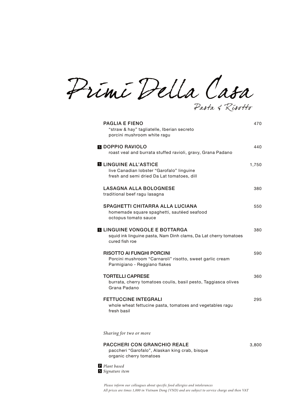Primi Della Casa Pasta & Risotto

| <b>PAGLIA E FIENO</b><br>"straw & hay" tagliatelle, Iberian secreto<br>porcini mushroom white ragu                        | 470   |
|---------------------------------------------------------------------------------------------------------------------------|-------|
| S DOPPIO RAVIOLO<br>roast veal and burrata stuffed ravioli, gravy, Grana Padano                                           | 440   |
| <b>SLINGUINE ALL'ASTICE</b><br>live Canadian lobster "Garofalo" linguine<br>fresh and semi dried Da Lat tomatoes, dill    | 1,750 |
| <b>LASAGNA ALLA BOLOGNESE</b><br>traditional beef ragu lasagna                                                            | 380   |
| SPAGHETTI CHITARRA ALLA LUCIANA<br>homemade square spaghetti, sautéed seafood<br>octopus tomato sauce                     | 550   |
| <b>SLINGUINE VONGOLE E BOTTARGA</b><br>squid ink linguine pasta, Nam Dinh clams, Da Lat cherry tomatoes<br>cured fish roe | 380   |
| RISOTTO AI FUNGHI PORCINI<br>Porcini mushroom "Carnaroli" risotto, sweet garlic cream<br>Parmigiano - Reggiano flakes     | 590   |
| <b>TORTELLI CAPRESE</b><br>burrata, cherry tomatoes coulis, basil pesto, Taggiasca olives<br>Grana Padano                 | 360   |
| <b>FETTUCCINE INTEGRALI</b><br>whole wheat fettucine pasta, tomatoes and vegetables ragu<br>fresh basil                   | 295   |
|                                                                                                                           |       |

*Sharing for two or more*

## PACCHERI CON GRANCHIO REALE 3,800 paccheri "Garofalo", Alaskan king crab, bisque

organic cherry tomatoes

*Signature item* P *Plant based*

> *All prices are times 1,000 in Vietnam Dong (VND) and are subject to service charge and then VAT Please inform our colleagues about specific food allergies and intolerances*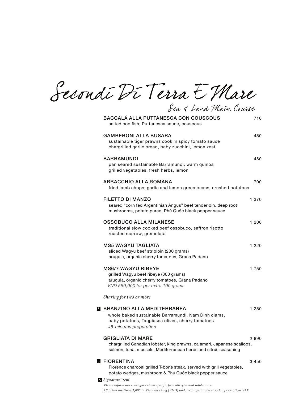Secondi Di Terra E Mare

| <b>BACCALÁ ALLA PUTTANESCA CON COUSCOUS</b><br>salted cod fish, Puttanesca sauce, couscous                                                                             | 710   |
|------------------------------------------------------------------------------------------------------------------------------------------------------------------------|-------|
| <b>GAMBERONI ALLA BUSARA</b><br>sustainable tiger prawns cook in spicy tomato sauce<br>chargrilled garlic bread, baby zucchini, lemon zest                             | 450   |
| <b>BARRAMUNDI</b><br>pan seared sustainable Barramundi, warm quinoa<br>grilled vegetables, fresh herbs, lemon                                                          | 480   |
| <b>ABBACCHIO ALLA ROMANA</b><br>fried lamb chops, garlic and lemon green beans, crushed potatoes                                                                       | 700   |
| <b>FILETTO DI MANZO</b><br>seared "corn fed Argentinian Angus" beef tenderloin, deep root<br>mushrooms, potato puree, Phú Quốc black pepper sauce                      | 1,370 |
| OSSOBUCO ALLA MILANESE<br>traditional slow cooked beef ossobuco, saffron risotto<br>roasted marrow, gremolata                                                          | 1,200 |
| <b>MS5 WAGYU TAGLIATA</b><br>sliced Wagyu beef striploin (200 grams)<br>arugula, organic cherry tomatoes, Grana Padano                                                 | 1,220 |
| <b>MS6/7 WAGYU RIBEYE</b><br>grilled Wagyu beef ribeye (300 grams)<br>arugula, organic cherry tomatoes, Grana Padano<br>VND 550,000 for per extra 100 grams            | 1,750 |
| Sharing for two or more                                                                                                                                                |       |
| S BRANZINO ALLA MEDITERRANEA<br>whole baked sustainable Barramundi, Nam Dinh clams,<br>baby potatoes, Taggiasca olives, cherry tomatoes<br>45-minutes preparation      | 1,250 |
| <b>GRIGLIATA DI MARE</b><br>chargrilled Canadian lobster, king prawns, calamari, Japanese scallops,<br>salmon, tuna, mussels, Mediterranean herbs and citrus seasoning | 2,890 |
| S FIORENTINA<br>Florence charcoal grilled T-bone steak, served with grill vegetables,<br>potato wedges, mushroom & Phú Quốc black pepper sauce                         | 3,450 |
| S Signature item                                                                                                                                                       |       |

Sea & Land Main Course

*Please inform our colleagues about specific food allergies and intolerances*

*All prices are times 1,000 in Vietnam Dong (VND) and are subject to service charge and then VAT*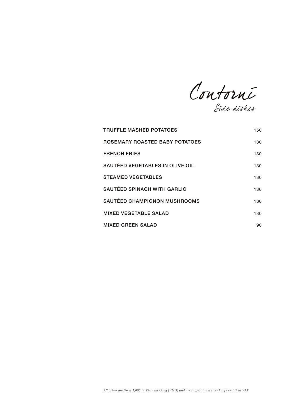Contorni Side dishes

| <b>TRUFFLE MASHED POTATOES</b>      | 150 |
|-------------------------------------|-----|
| ROSEMARY ROASTED BABY POTATOES      | 130 |
| <b>FRENCH FRIES</b>                 | 130 |
| SAUTÉED VEGETABLES IN OLIVE OIL     | 130 |
| <b>STEAMED VEGETABLES</b>           | 130 |
| <b>SAUTÉED SPINACH WITH GARLIC</b>  | 130 |
| <b>SAUTÉED CHAMPIGNON MUSHROOMS</b> | 130 |
| <b>MIXED VEGETABLE SALAD</b>        | 130 |
| <b>MIXED GREEN SALAD</b>            | 90  |

*All prices are times 1,000 in Vietnam Dong (VND) and are subject to service charge and then VAT*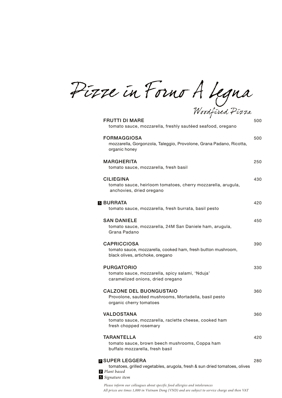Pizze in Forno A Legna

| Woodfired Firra                                                                                                                           |     |
|-------------------------------------------------------------------------------------------------------------------------------------------|-----|
| <b>FRUTTI DI MARE</b><br>tomato sauce, mozzarella, freshly sautéed seafood, oregano                                                       | 500 |
| <b>FORMAGGIOSA</b><br>mozzarella, Gorgonzola, Taleggio, Provolone, Grana Padano, Ricotta,<br>organic honey                                | 500 |
| <b>MARGHERITA</b><br>tomato sauce, mozzarella, fresh basil                                                                                | 250 |
| <b>CILIEGINA</b><br>tomato sauce, heirloom tomatoes, cherry mozzarella, arugula,<br>anchovies, dried oregano                              | 430 |
| <b>S</b> BURRATA<br>tomato sauce, mozzarella, fresh burrata, basil pesto                                                                  | 420 |
| <b>SAN DANIELE</b><br>tomato sauce, mozzarella, 24M San Daniele ham, arugula,<br>Grana Padano                                             | 450 |
| <b>CAPRICCIOSA</b><br>tomato sauce, mozzarella, cooked ham, fresh button mushroom,<br>black olives, artichoke, oregano                    | 390 |
| <b>PURGATORIO</b><br>tomato sauce, mozzarella, spicy salami, 'Nduja'<br>caramelized onions, dried oregano                                 | 330 |
| <b>CALZONE DEL BUONGUSTAIO</b><br>Provolone, sautéed mushrooms, Mortadella, basil pesto<br>organic cherry tomatoes                        | 360 |
| <b>VALDOSTANA</b><br>tomato sauce, mozzarella, raclette cheese, cooked ham<br>fresh chopped rosemary                                      | 360 |
| <b>TARANTELLA</b><br>tomato sauce, brown beech mushrooms, Coppa ham<br>buffalo mozzarella, fresh basil                                    | 420 |
| <b>NO SUPER LEGGERA</b><br>tomatoes, grilled vegetables, arugola, fresh & sun dried tomatoes, olives<br>P Plant based<br>S Signature item | 280 |
|                                                                                                                                           |     |

*All prices are times 1,000 in Vietnam Dong (VND) and are subject to service charge and then VAT Please inform our colleagues about specific food allergies and intolerances*